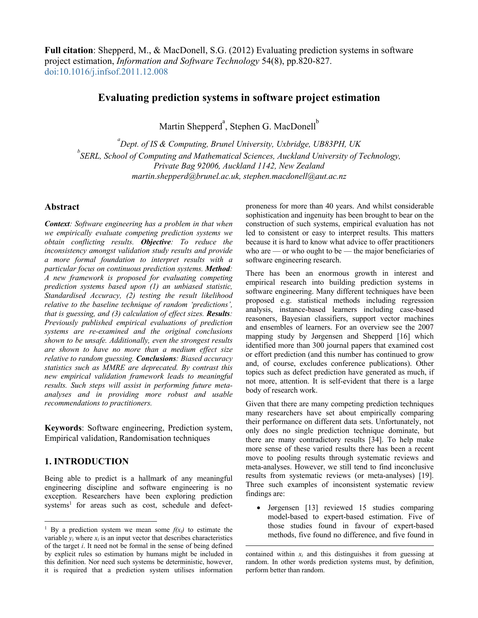**Full citation**: Shepperd, M., & MacDonell, S.G. (2012) Evaluating prediction systems in software project estimation, *Information and Software Technology* 54(8), pp.820-827. doi:10.1016/j.infsof.2011.12.008

# **Evaluating prediction systems in software project estimation**

Martin Shepperd<sup>a</sup>, Stephen G. MacDonell<sup>b</sup>

*a Dept. of IS & Computing, Brunel University, Uxbridge, UB83PH, UK b SERL, School of Computing and Mathematical Sciences, Auckland University of Technology, Private Bag 92006, Auckland 1142, New Zealand martin.shepperd@brunel.ac.uk, stephen.macdonell@aut.ac.nz*

## **Abstract**

*Context: Software engineering has a problem in that when we empirically evaluate competing prediction systems we obtain conflicting results. Objective: To reduce the inconsistency amongst validation study results and provide a more formal foundation to interpret results with a particular focus on continuous prediction systems. Method: A new framework is proposed for evaluating competing prediction systems based upon (1) an unbiased statistic, Standardised Accuracy, (2) testing the result likelihood relative to the baseline technique of random 'predictions', that is guessing, and (3) calculation of effect sizes. Results: Previously published empirical evaluations of prediction systems are re-examined and the original conclusions shown to be unsafe. Additionally, even the strongest results are shown to have no more than a medium effect size relative to random guessing. Conclusions: Biased accuracy statistics such as MMRE are deprecated. By contrast this new empirical validation framework leads to meaningful results. Such steps will assist in performing future metaanalyses and in providing more robust and usable recommendations to practitioners.* 

**Keywords**: Software engineering, Prediction system, Empirical validation, Randomisation techniques

# **1. INTRODUCTION**

Being able to predict is a hallmark of any meaningful engineering discipline and software engineering is no exception. Researchers have been exploring prediction systems<sup>1</sup> for areas such as cost, schedule and defectproneness for more than 40 years. And whilst considerable sophistication and ingenuity has been brought to bear on the construction of such systems, empirical evaluation has not led to consistent or easy to interpret results. This matters because it is hard to know what advice to offer practitioners who are — or who ought to be — the major beneficiaries of software engineering research.

There has been an enormous growth in interest and empirical research into building prediction systems in software engineering. Many different techniques have been proposed e.g. statistical methods including regression analysis, instance-based learners including case-based reasoners, Bayesian classifiers, support vector machines and ensembles of learners. For an overview see the 2007 mapping study by Jørgensen and Shepperd [16] which identified more than 300 journal papers that examined cost or effort prediction (and this number has continued to grow and, of course, excludes conference publications). Other topics such as defect prediction have generated as much, if not more, attention. It is self-evident that there is a large body of research work.

Given that there are many competing prediction techniques many researchers have set about empirically comparing their performance on different data sets. Unfortunately, not only does no single prediction technique dominate, but there are many contradictory results [34]. To help make more sense of these varied results there has been a recent move to pooling results through systematic reviews and meta-analyses. However, we still tend to find inconclusive results from systematic reviews (or meta-analyses) [19]. Three such examples of inconsistent systematic review findings are:

• Jørgensen [13] reviewed 15 studies comparing model-based to expert-based estimation. Five of those studies found in favour of expert-based methods, five found no difference, and five found in

<sup>&</sup>lt;sup>1</sup> By a prediction system we mean some  $f(x_i)$  to estimate the variable  $y_i$  where  $x_i$  is an input vector that describes characteristics of the target *i*. It need not be formal in the sense of being defined by explicit rules so estimation by humans might be included in this definition. Nor need such systems be deterministic, however, it is required that a prediction system utilises information

contained within  $x_i$  and this distinguishes it from guessing at random. In other words prediction systems must, by definition, perform better than random.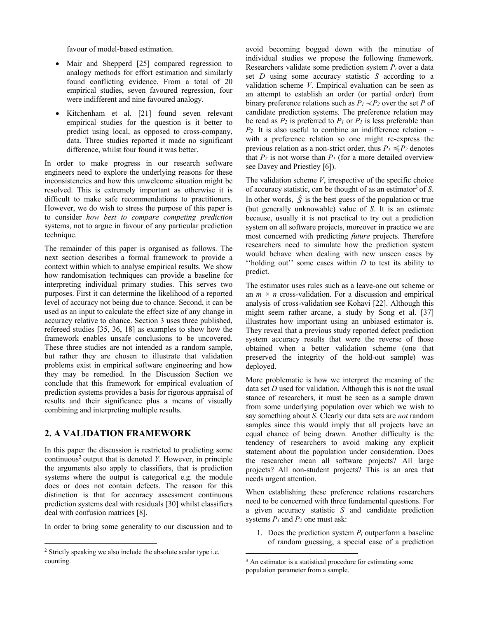favour of model-based estimation.

- Mair and Shepperd [25] compared regression to analogy methods for effort estimation and similarly found conflicting evidence. From a total of 20 empirical studies, seven favoured regression, four were indifferent and nine favoured analogy.
- Kitchenham et al. [21] found seven relevant empirical studies for the question is it better to predict using local, as opposed to cross-company, data. Three studies reported it made no significant difference, whilst four found it was better.

In order to make progress in our research software engineers need to explore the underlying reasons for these inconsistencies and how this unwelcome situation might be resolved. This is extremely important as otherwise it is difficult to make safe recommendations to practitioners. However, we do wish to stress the purpose of this paper is to consider *how best to compare competing prediction* systems, not to argue in favour of any particular prediction technique.

The remainder of this paper is organised as follows. The next section describes a formal framework to provide a context within which to analyse empirical results. We show how randomisation techniques can provide a baseline for interpreting individual primary studies. This serves two purposes. First it can determine the likelihood of a reported level of accuracy not being due to chance. Second, it can be used as an input to calculate the effect size of any change in accuracy relative to chance. Section 3 uses three published, refereed studies [35, 36, 18] as examples to show how the framework enables unsafe conclusions to be uncovered. These three studies are not intended as a random sample, but rather they are chosen to illustrate that validation problems exist in empirical software engineering and how they may be remedied. In the Discussion Section we conclude that this framework for empirical evaluation of prediction systems provides a basis for rigorous appraisal of results and their significance plus a means of visually combining and interpreting multiple results.

# **2. A VALIDATION FRAMEWORK**

In this paper the discussion is restricted to predicting some continuous<sup>2</sup> output that is denoted *Y*. However, in principle the arguments also apply to classifiers, that is prediction systems where the output is categorical e.g. the module does or does not contain defects. The reason for this distinction is that for accuracy assessment continuous prediction systems deal with residuals [30] whilst classifiers deal with confusion matrices [8].

In order to bring some generality to our discussion and to

avoid becoming bogged down with the minutiae of individual studies we propose the following framework. Researchers validate some prediction system *Pi* over a data set *D* using some accuracy statistic *S* according to a validation scheme *V*. Empirical evaluation can be seen as an attempt to establish an order (or partial order) from binary preference relations such as  $P_1 \prec P_2$  over the set *P* of candidate prediction systems. The preference relation may be read as  $P_2$  is preferred to  $P_1$  or  $P_1$  is less preferable than  $P_2$ . It is also useful to combine an indifference relation  $\sim$ with a preference relation so one might re-express the previous relation as a non-strict order, thus  $P_1 \le P_2$  denotes that  $P_2$  is not worse than  $P_1$  (for a more detailed overview see Davey and Priestley [6]).

The validation scheme *V*, irrespective of the specific choice of accuracy statistic, can be thought of as an estimator<sup>3</sup> of *S*. In other words,  $\hat{S}$  is the best guess of the population or true (but generally unknowable) value of *S*. It is an estimate because, usually it is not practical to try out a prediction system on all software projects, moreover in practice we are most concerned with predicting *future* projects. Therefore researchers need to simulate how the prediction system would behave when dealing with new unseen cases by ''holding out'' some cases within *D* to test its ability to predict.

The estimator uses rules such as a leave-one out scheme or an  $m \times n$  cross-validation. For a discussion and empirical analysis of cross-validation see Kohavi [22]. Although this might seem rather arcane, a study by Song et al. [37] illustrates how important using an unbiased estimator is. They reveal that a previous study reported defect prediction system accuracy results that were the reverse of those obtained when a better validation scheme (one that preserved the integrity of the hold-out sample) was deployed.

More problematic is how we interpret the meaning of the data set *D* used for validation. Although this is not the usual stance of researchers, it must be seen as a sample drawn from some underlying population over which we wish to say something about *S*. Clearly our data sets are *not* random samples since this would imply that all projects have an equal chance of being drawn. Another difficulty is the tendency of researchers to avoid making any explicit statement about the population under consideration. Does the researcher mean all software projects? All large projects? All non-student projects? This is an area that needs urgent attention.

When establishing these preference relations researchers need to be concerned with three fundamental questions. For a given accuracy statistic *S* and candidate prediction systems *P1* and *P2* one must ask:

1. Does the prediction system *Pi* outperform a baseline of random guessing, a special case of a prediction

<sup>2</sup> Strictly speaking we also include the absolute scalar type i.e. counting.

<sup>&</sup>lt;sup>3</sup> An estimator is a statistical procedure for estimating some population parameter from a sample.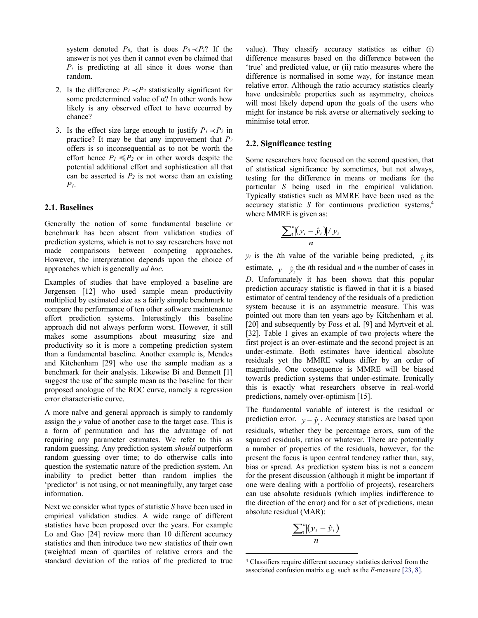system denoted  $P_0$ , that is does  $P_0 \prec P_i$ ? If the answer is not yes then it cannot even be claimed that *Pi* is predicting at all since it does worse than random.

- 2. Is the difference  $P_1 \lt P_2$  statistically significant for some predetermined value of  $\alpha$ ? In other words how likely is any observed effect to have occurred by chance?
- 3. Is the effect size large enough to justify  $P_1 \prec P_2$  in practice? It may be that any improvement that *P2* offers is so inconsequential as to not be worth the effort hence  $P_1 \leq P_2$  or in other words despite the potential additional effort and sophistication all that can be asserted is  $P_2$  is not worse than an existing *P1*.

### **2.1. Baselines**

Generally the notion of some fundamental baseline or benchmark has been absent from validation studies of prediction systems, which is not to say researchers have not made comparisons between competing approaches. However, the interpretation depends upon the choice of approaches which is generally *ad hoc*.

Examples of studies that have employed a baseline are Jørgensen [12] who used sample mean productivity multiplied by estimated size as a fairly simple benchmark to compare the performance of ten other software maintenance effort prediction systems. Interestingly this baseline approach did not always perform worst. However, it still makes some assumptions about measuring size and productivity so it is more a competing prediction system than a fundamental baseline. Another example is, Mendes and Kitchenham [29] who use the sample median as a benchmark for their analysis. Likewise Bi and Bennett [1] suggest the use of the sample mean as the baseline for their proposed anologue of the ROC curve, namely a regression error characteristic curve.

A more naïve and general approach is simply to randomly assign the *y* value of another case to the target case. This is a form of permutation and has the advantage of not requiring any parameter estimates. We refer to this as random guessing. Any prediction system *should* outperform random guessing over time; to do otherwise calls into question the systematic nature of the prediction system. An inability to predict better than random implies the 'predictor' is not using, or not meaningfully, any target case information.

Next we consider what types of statistic *S* have been used in empirical validation studies. A wide range of different statistics have been proposed over the years. For example Lo and Gao [24] review more than 10 different accuracy statistics and then introduce two new statistics of their own (weighted mean of quartiles of relative errors and the standard deviation of the ratios of the predicted to true

value). They classify accuracy statistics as either (i) difference measures based on the difference between the 'true' and predicted value, or (ii) ratio measures where the difference is normalised in some way, for instance mean relative error. Although the ratio accuracy statistics clearly have undesirable properties such as asymmetry, choices will most likely depend upon the goals of the users who might for instance be risk averse or alternatively seeking to minimise total error.

#### **2.2. Significance testing**

Some researchers have focused on the second question, that of statistical significance by sometimes, but not always, testing for the difference in means or medians for the particular *S* being used in the empirical validation. Typically statistics such as MMRE have been used as the accuracy statistic *S* for continuous prediction systems,4 where MMRE is given as:

$$
\frac{\sum_{i}^{n} (y_i - \hat{y}_i)/y_i}{n}
$$

 $y_i$  is the *i*th value of the variable being predicted,  $\hat{y}_i$  its estimate,  $y - \hat{y}$ <sub>i</sub> the *i*th residual and *n* the number of cases in *D*. Unfortunately it has been shown that this popular prediction accuracy statistic is flawed in that it is a biased estimator of central tendency of the residuals of a prediction system because it is an asymmetric measure. This was pointed out more than ten years ago by Kitchenham et al. [20] and subsequently by Foss et al. [9] and Myrtveit et al. [32]. Table 1 gives an example of two projects where the first project is an over-estimate and the second project is an under-estimate. Both estimates have identical absolute residuals yet the MMRE values differ by an order of magnitude. One consequence is MMRE will be biased towards prediction systems that under-estimate. Ironically this is exactly what researchers observe in real-world predictions, namely over-optimism [15].

The fundamental variable of interest is the residual or prediction error,  $y - \hat{y}_i$ . Accuracy statistics are based upon residuals, whether they be percentage errors, sum of the squared residuals, ratios or whatever. There are potentially a number of properties of the residuals, however, for the present the focus is upon central tendency rather than, say, bias or spread. As prediction system bias is not a concern for the present discussion (although it might be important if one were dealing with a portfolio of projects), researchers can use absolute residuals (which implies indifference to the direction of the error) and for a set of predictions, mean absolute residual (MAR):

$$
\frac{\sum_{i}^{n}[(y_{i}-\hat{y}_{i})]}{n}
$$

<sup>4</sup> Classifiers require different accuracy statistics derived from the associated confusion matrix e.g. such as the *F*-measure [23, 8].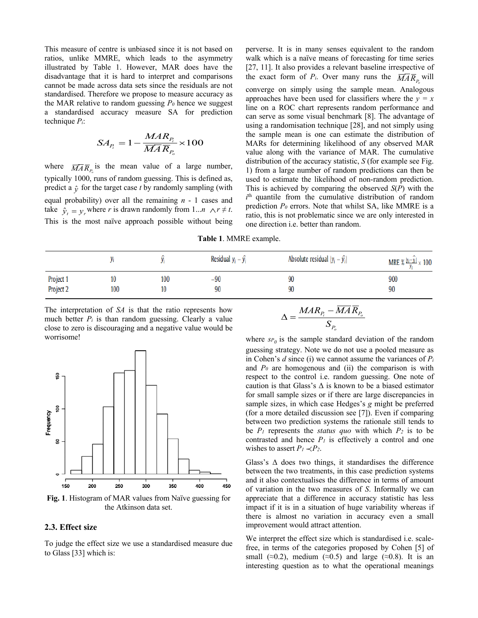This measure of centre is unbiased since it is not based on ratios, unlike MMRE, which leads to the asymmetry illustrated by Table 1. However, MAR does have the disadvantage that it is hard to interpret and comparisons cannot be made across data sets since the residuals are not standardised. Therefore we propose to measure accuracy as the MAR relative to random guessing  $P_0$  hence we suggest a standardised accuracy measure SA for prediction technique *Pi*:

$$
SA_{P_i} = 1 - \frac{MAR_{P_i}}{\overline{MAR}_{P_o}} \times 100
$$

where  $\overline{MAR}_{P_o}$  is the mean value of a large number, typically 1000, runs of random guessing. This is defined as, predict a  $\hat{y}$  for the target case *t* by randomly sampling (with equal probability) over all the remaining *n* - 1 cases and take  $\hat{y}_t = y_r$  where *r* is drawn randomly from 1...*n*  $\forall r \neq t$ . This is the most naïve approach possible without being

perverse. It is in many senses equivalent to the random walk which is a naïve means of forecasting for time series [27, 11]. It also provides a relevant baseline irrespective of the exact form of  $P_i$ . Over many runs the  $\overline{MAR}_{P_o}$  will converge on simply using the sample mean. Analogous approaches have been used for classifiers where the  $y = x$ line on a ROC chart represents random performance and can serve as some visual benchmark [8]. The advantage of using a randomisation technique [28], and not simply using the sample mean is one can estimate the distribution of MARs for determining likelihood of any observed MAR value along with the variance of MAR. The cumulative distribution of the accuracy statistic, *S* (for example see Fig. 1) from a large number of random predictions can then be used to estimate the likelihood of non-random prediction. This is achieved by comparing the observed *S*(*P*) with the  $i<sup>th</sup>$  quantile from the cumulative distribution of random prediction *P0* errors. Note that whilst SA, like MMRE is a ratio, this is not problematic since we are only interested in one direction i.e. better than random.

**Table 1**. MMRE example.

|                        |     |     | Residual $y_i - \hat{y_i}$ | Absolute residual $ y_i - \hat{y_i} $ | MRE % $\frac{ y_i - y_i }{v} \times 100$ |
|------------------------|-----|-----|----------------------------|---------------------------------------|------------------------------------------|
| Project 1<br>Project 2 | 100 | 100 | -90                        | 90                                    | 900                                      |
|                        |     |     | 90                         | 90                                    | 90                                       |

The interpretation of *SA* is that the ratio represents how much better  $P_i$  is than random guessing. Clearly a value close to zero is discouraging and a negative value would be worrisome!



**Fig. 1**. Histogram of MAR values from Naïve guessing for the Atkinson data set.

### **2.3. Effect size**

To judge the effect size we use a standardised measure due to Glass [33] which is:

$$
\Delta=\frac{MAR_{P_i}-\overline{MA}\,\overline{R}_{P_o}}{S_{P_o}}
$$

where  $s_{P_0}$  is the sample standard deviation of the random guessing strategy. Note we do not use a pooled measure as in Cohen's *d* since (i) we cannot assume the variances of *Pi* and  $P_0$  are homogenous and (ii) the comparison is with respect to the control i.e. random guessing. One note of caution is that Glass's  $\Delta$  is known to be a biased estimator for small sample sizes or if there are large discrepancies in sample sizes, in which case Hedges's *g* might be preferred (for a more detailed discussion see [7]). Even if comparing between two prediction systems the rationale still tends to be  $P_1$  represents the *status quo* with which  $P_2$  is to be contrasted and hence  $P_l$  is effectively a control and one wishes to assert  $P_1 \prec P_2$ .

Glass's  $\Delta$  does two things, it standardises the difference between the two treatments, in this case prediction systems and it also contextualises the difference in terms of amount of variation in the two measures of *S*. Informally we can appreciate that a difference in accuracy statistic has less impact if it is in a situation of huge variability whereas if there is almost no variation in accuracy even a small improvement would attract attention.

We interpret the effect size which is standardised i.e. scalefree, in terms of the categories proposed by Cohen [5] of small (≈0.2), medium (≈0.5) and large (≈0.8). It is an interesting question as to what the operational meanings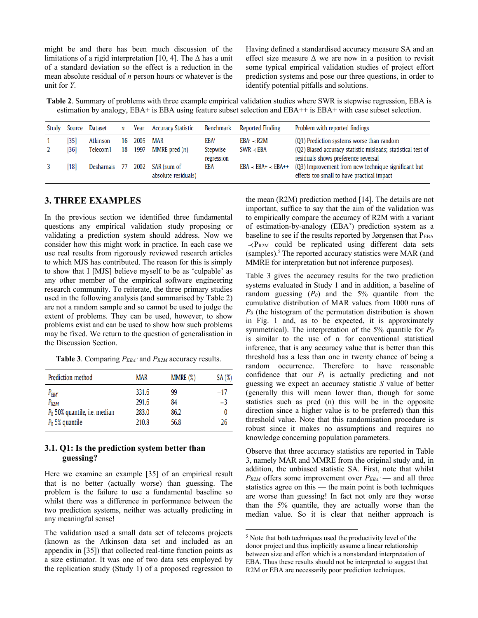might be and there has been much discussion of the limitations of a rigid interpretation [10, 4]. The  $\Delta$  has a unit of a standard deviation so the effect is a reduction in the mean absolute residual of *n* person hours or whatever is the unit for *Y*.

Having defined a standardised accuracy measure SA and an effect size measure  $\Delta$  we are now in a position to revisit some typical empirical validation studies of project effort prediction systems and pose our three questions, in order to identify potential pitfalls and solutions.

**Table 2**. Summary of problems with three example empirical validation studies where SWR is stepwise regression, EBA is estimation by analogy, EBA+ is EBA using feature subset selection and EBA++ is EBA+ with case subset selection.

| Study | Source     | Dataset              | n        | Year         | Accuracy Statistic                 | Benchmark                      | Reported Finding                    | Problem with reported findings                                                                                                                   |
|-------|------------|----------------------|----------|--------------|------------------------------------|--------------------------------|-------------------------------------|--------------------------------------------------------------------------------------------------------------------------------------------------|
|       | 351<br>361 | Atkinson<br>Telecom1 | 16<br>18 | 2005<br>1997 | MAR<br>MMRE pred $(n)$             | EBA'<br>Stepwise<br>regression | $EBA' \prec R2M$<br>$SWR \prec EBA$ | (Q1) Prediction systems worse than random<br>(Q2) Biased accuracy statistic misleads; statistical test of<br>residuals shows preference reversal |
|       | 18         | Desharnais           | 77       | 2002         | SAR (sum of<br>absolute residuals) | EBA                            | $EBA \prec EBA+ \prec EBA++$        | (Q3) Improvement from new technique significant but<br>effects too small to have practical impact                                                |

### **3. THREE EXAMPLES**

In the previous section we identified three fundamental questions any empirical validation study proposing or validating a prediction system should address. Now we consider how this might work in practice. In each case we use real results from rigorously reviewed research articles to which MJS has contributed. The reason for this is simply to show that I [MJS] believe myself to be as 'culpable' as any other member of the empirical software engineering research community. To reiterate, the three primary studies used in the following analysis (and summarised by Table 2) are not a random sample and so cannot be used to judge the extent of problems. They can be used, however, to show problems exist and can be used to show how such problems may be fixed. We return to the question of generalisation in the Discussion Section.

**Table 3**. Comparing *PEBA'* and *PR2M* accuracy results.

| Prediction method                        | <b>MAR</b> | MMRE (%) | SA(%) |
|------------------------------------------|------------|----------|-------|
| $P_{EBA'}$                               | 331.6      | 99       | $-17$ |
| $P_{R2M}$                                | 291.6      | 84       | $-3$  |
| P <sub>0</sub> 50% quantile, i.e. median | 283.0      | 86.2     | 0     |
| $P_0$ 5% quantile                        | 210.8      | 56.8     | 26    |

## **3.1. Q1: Is the prediction system better than guessing?**

Here we examine an example [35] of an empirical result that is no better (actually worse) than guessing. The problem is the failure to use a fundamental baseline so whilst there was a difference in performance between the two prediction systems, neither was actually predicting in any meaningful sense!

The validation used a small data set of telecoms projects (known as the Atkinson data set and included as an appendix in [35]) that collected real-time function points as a size estimator. It was one of two data sets employed by the replication study (Study 1) of a proposed regression to

the mean (R2M) prediction method [14]. The details are not important, suffice to say that the aim of the validation was to empirically compare the accuracy of R2M with a variant of estimation-by-analogy (EBA') prediction system as a baseline to see if the results reported by Jørgensen that PEBA  $\prec$ PR2M could be replicated using different data sets (samples).<sup>5</sup> The reported accuracy statistics were MAR (and MMRE for interpretation but not inference purposes).

Table 3 gives the accuracy results for the two prediction systems evaluated in Study 1 and in addition, a baseline of random guessing  $(P_0)$  and the 5% quantile from the cumulative distribution of MAR values from 1000 runs of *P0* (the histogram of the permutation distribution is shown in Fig. 1 and, as to be expected, it is approximately symmetrical). The interpretation of the 5% quantile for *P0* is similar to the use of  $\alpha$  for conventional statistical inference, that is any accuracy value that is better than this threshold has a less than one in twenty chance of being a random occurrence. Therefore to have reasonable confidence that our  $P_i$  is actually predicting and not guessing we expect an accuracy statistic *S* value of better (generally this will mean lower than, though for some statistics such as pred (n) this will be in the opposite direction since a higher value is to be preferred) than this threshold value. Note that this randomisation procedure is robust since it makes no assumptions and requires no knowledge concerning population parameters.

Observe that three accuracy statistics are reported in Table 3, namely MAR and MMRE from the original study and, in addition, the unbiased statistic SA. First, note that whilst *PR2M* offers some improvement over  $P_{EBA'}$  — and all three statistics agree on this — the main point is both techniques are worse than guessing! In fact not only are they worse than the 5% quantile, they are actually worse than the median value. So it is clear that neither approach is

<sup>&</sup>lt;sup>5</sup> Note that both techniques used the productivity level of the donor project and thus implicitly assume a linear relationship between size and effort which is a nonstandard interpretation of EBA. Thus these results should not be interpreted to suggest that R2M or EBA are necessarily poor prediction techniques.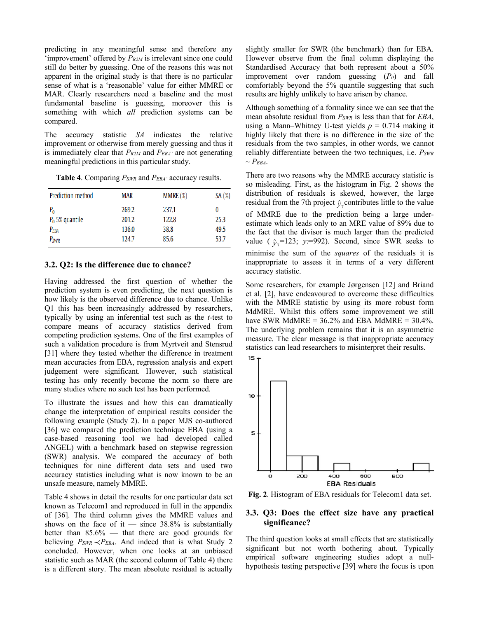predicting in any meaningful sense and therefore any 'improvement' offered by *PR2M* is irrelevant since one could still do better by guessing. One of the reasons this was not apparent in the original study is that there is no particular sense of what is a 'reasonable' value for either MMRE or MAR. Clearly researchers need a baseline and the most fundamental baseline is guessing, moreover this is something with which *all* prediction systems can be compared.

The accuracy statistic *SA* indicates the relative improvement or otherwise from merely guessing and thus it is immediately clear that *PR2M* and *PEBA'* are not generating meaningful predictions in this particular study.

| Prediction method | <b>MAR</b> | MMRE(%) | SA(%) |
|-------------------|------------|---------|-------|
| P <sub>o</sub>    | 269.2      | 237.1   | 0     |
| $P_0$ 5% quantile | 201.2      | 122.8   | 25.3  |
| $P_{EBA}$         | 136.0      | 38.8    | 49.5  |
| $P_{SWR}$         | 124.7      | 85.6    | 53.7  |

**Table 4**. Comparing *PSWR* and *PEBA'* accuracy results.

#### **3.2. Q2: Is the difference due to chance?**

Having addressed the first question of whether the prediction system is even predicting, the next question is how likely is the observed difference due to chance. Unlike Q1 this has been increasingly addressed by researchers, typically by using an inferential test such as the *t*-test to compare means of accuracy statistics derived from competing prediction systems. One of the first examples of such a validation procedure is from Myrtveit and Stensrud [31] where they tested whether the difference in treatment mean accuracies from EBA, regression analysis and expert judgement were significant. However, such statistical testing has only recently become the norm so there are many studies where no such test has been performed.

To illustrate the issues and how this can dramatically change the interpretation of empirical results consider the following example (Study 2). In a paper MJS co-authored [36] we compared the prediction technique EBA (using a case-based reasoning tool we had developed called ANGEL) with a benchmark based on stepwise regression (SWR) analysis. We compared the accuracy of both techniques for nine different data sets and used two accuracy statistics including what is now known to be an unsafe measure, namely MMRE.

Table 4 shows in detail the results for one particular data set known as Telecom1 and reproduced in full in the appendix of [36]. The third column gives the MMRE values and shows on the face of it — since  $38.8\%$  is substantially better than  $85.6\%$  — that there are good grounds for believing  $P_{SWR} \prec P_{EBA}$ . And indeed that is what Study 2 concluded. However, when one looks at an unbiased statistic such as MAR (the second column of Table 4) there is a different story. The mean absolute residual is actually

slightly smaller for SWR (the benchmark) than for EBA. However observe from the final column displaying the Standardised Accuracy that both represent about a 50% improvement over random guessing (*P0*) and fall comfortably beyond the 5% quantile suggesting that such results are highly unlikely to have arisen by chance.

Although something of a formality since we can see that the mean absolute residual from *PSWR* is less than that for *EBA*, using a Mann–Whitney U-test yields  $p = 0.714$  making it highly likely that there is no difference in the size of the residuals from the two samples, in other words, we cannot reliably differentiate between the two techniques, i.e. *PSWR*  $\sim P_{EBA}$ .

There are two reasons why the MMRE accuracy statistic is so misleading. First, as the histogram in Fig. 2 shows the distribution of residuals is skewed, however, the large residual from the 7th project  $\hat{y}_7$  contributes little to the value of MMRE due to the prediction being a large underestimate which leads only to an MRE value of 89% due to the fact that the divisor is much larger than the predicted value ( $\hat{y}_7$ =123;  $y_7$ =992). Second, since SWR seeks to minimise the sum of the *squares* of the residuals it is inappropriate to assess it in terms of a very different accuracy statistic.

Some researchers, for example Jørgensen [12] and Briand et al. [2], have endeavoured to overcome these difficulties with the MMRE statistic by using its more robust form MdMRE. Whilst this offers some improvement we still have SWR MdMRE =  $36.2\%$  and EBA MdMRE =  $30.4\%$ . The underlying problem remains that it is an asymmetric measure. The clear message is that inappropriate accuracy statistics can lead researchers to misinterpret their results.



**Fig. 2**. Histogram of EBA residuals for Telecom1 data set.

## **3.3. Q3: Does the effect size have any practical significance?**

The third question looks at small effects that are statistically significant but not worth bothering about. Typically empirical software engineering studies adopt a nullhypothesis testing perspective [39] where the focus is upon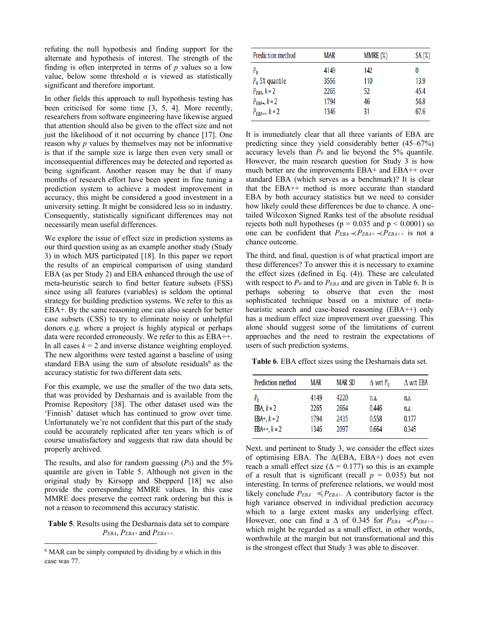refuting the null hypothesis and finding support for the alternate and hypothesis of interest. The strength of the finding is often interpreted in terms of *p* values so a low value, below some threshold  $\alpha$  is viewed as statistically significant and therefore important.

In other fields this approach to null hypothesis testing has been criticised for some time [3, 5, 4]. More recently, researchers from software engineering have likewise argued that attention should also be given to the effect size and not just the likelihood of it not occurring by chance [17]. One reason why *p* values by themselves may not be informative is that if the sample size is large then even very small or inconsequential differences may be detected and reported as being significant. Another reason may be that if many months of research effort have been spent in fine tuning a prediction system to achieve a modest improvement in accuracy, this might be considered a good investment in a university setting. It might be considered less so in industry. Consequently, statistically significant differences may not necessarily mean useful differences.

We explore the issue of effect size in prediction systems as our third question using as an example another study (Study 3) in which MJS participated [18]. In this paper we report the results of an empirical comparison of using standard EBA (as per Study 2) and EBA enhanced through the use of meta-heuristic search to find better feature subsets (FSS) since using all features (variables) is seldom the optimal strategy for building prediction systems. We refer to this as EBA+. By the same reasoning one can also search for better case subsets (CSS) to try to eliminate noisy or unhelpful donors e.g. where a project is highly atypical or perhaps data were recorded erroneously. We refer to this as EBA++. In all cases  $k = 2$  and inverse distance weighting employed. The new algorithms were tested against a baseline of using standard EBA using the sum of absolute residuals $6$  as the accuracy statistic for two different data sets.

For this example, we use the smaller of the two data sets, that was provided by Desharnais and is available from the Promise Repository [38]. The other dataset used was the 'Finnish' dataset which has continued to grow over time. Unfortunately we're not confident that this part of the study could be accurately replicated after ten years which is of course unsatisfactory and suggests that raw data should be properly archived.

The results, and also for random guessing  $(P_0)$  and the 5% quantile are given in Table 5. Although not given in the original study by Kirsopp and Shepperd [18] we also provide the corresponding MMRE values. In this case MMRE does preserve the correct rank ordering but this is not a reason to recommend this accuracy statistic.

**Table 5**. Results using the Desharnais data set to compare *PEBA*, *PEBA+* and *PEBA++.*

| Prediction method     | MAR  | MMRE (%) | SA(%) |
|-----------------------|------|----------|-------|
| $P_0$                 | 4149 | 142      | 0     |
| $P_0$ 5% quantile     | 3556 | 110      | 13.9  |
| $P_{EBA}$ , $k = 2$   | 2265 | 52       | 45.4  |
| $P_{EBA+}, k = 2$     | 1794 | 46       | 56.8  |
| $P_{EBA++}$ , $k = 2$ | 1346 | 31       | 67.6  |

It is immediately clear that all three variants of EBA are predicting since they yield considerably better (45–67%) accuracy levels than  $P_0$  and lie beyond the 5% quantile. However, the main research question for Study 3 is how much better are the improvements EBA+ and EBA++ over standard EBA (which serves as a benchmark)? It is clear that the EBA++ method is more accurate than standard EBA by both accuracy statistics but we need to consider how likely could these differences be due to chance. A onetailed Wilcoxon Signed Ranks test of the absolute residual rejects both null hypotheses ( $p = 0.035$  and  $p < 0.0001$ ) so one can be confident that  $P_{EBA} \prec P_{EBA+} \prec P_{EBA++}$  is not a chance outcome.

The third, and final, question is of what practical import are these differences? To answer this it is necessary to examine the effect sizes (defined in Eq. (4)). These are calculated with respect to  $P_0$  and to  $P_{EBA}$  and are given in Table 6. It is perhaps sobering to observe that even the most sophisticated technique based on a mixture of metaheuristic search and case-based reasoning (EBA++) only has a medium effect size improvement over guessing. This alone should suggest some of the limitations of current approaches and the need to restrain the expectations of users of such prediction systems.

**Table 6**. EBA effect sizes using the Desharnais data set.

| Prediction method | MAR  | <b>MARSD</b> | $\Delta$ wrt $P_0$ | $\Delta$ wrt EBA |
|-------------------|------|--------------|--------------------|------------------|
| $P_{0}$           | 4149 | 4220         | n.a.               | n.a.             |
| EBA, $k = 2$      | 2265 | 2664         | 0.446              | n.a.             |
| $EBA+, k = 2$     | 1794 | 2435         | 0.558              | 0.177            |
| EBA++, $k = 2$    | 1346 | 2097         | 0.664              | 0.345            |
|                   |      |              |                    |                  |

Next, and pertinent to Study 3, we consider the effect sizes of optimising EBA. The  $\Delta$ (EBA, EBA+) does not even reach a small effect size ( $\Delta = 0.177$ ) so this is an example of a result that is significant (recall  $p = 0.035$ ) but not interesting. In terms of preference relations, we would most likely conclude  $P_{EBA} \preccurlyeq P_{EBA+}$ . A contributory factor is the high variance observed in individual prediction accuracy which to a large extent masks any underlying effect. However, one can find a  $\Delta$  of 0.345 for  $P_{EBA} \prec P_{EBA++}$ which might be regarded as a small effect, in other words, worthwhile at the margin but not transformational and this is the strongest effect that Study 3 was able to discover.

<sup>6</sup> MAR can be simply computed by dividing by *n* which in this case was 77.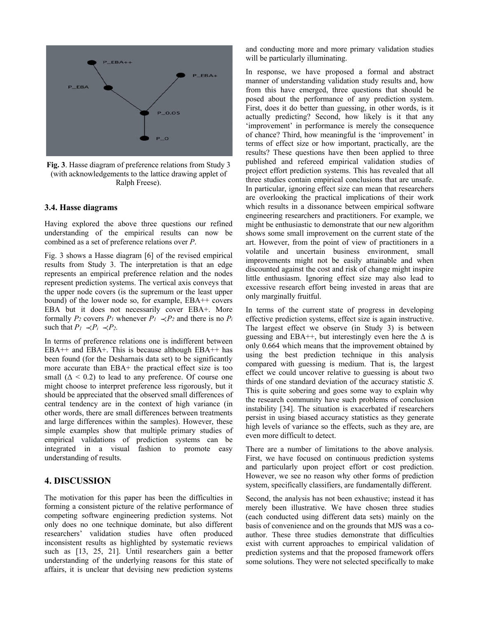

**Fig. 3**. Hasse diagram of preference relations from Study 3 (with acknowledgements to the lattice drawing applet of Ralph Freese).

#### **3.4. Hasse diagrams**

Having explored the above three questions our refined understanding of the empirical results can now be combined as a set of preference relations over *P*.

Fig. 3 shows a Hasse diagram [6] of the revised empirical results from Study 3. The interpretation is that an edge represents an empirical preference relation and the nodes represent prediction systems. The vertical axis conveys that the upper node covers (is the supremum or the least upper bound) of the lower node so, for example, EBA++ covers EBA but it does not necessarily cover EBA+. More formally  $P_2$  covers  $P_1$  whenever  $P_1 \prec P_2$  and there is no  $P_i$ such that  $P_1 \prec P_i \prec P_2$ .

In terms of preference relations one is indifferent between  $EBA++$  and  $EBA+.$  This is because although  $EBA++$  has been found (for the Desharnais data set) to be significantly more accurate than EBA+ the practical effect size is too small  $(\Delta \le 0.2)$  to lead to any preference. Of course one might choose to interpret preference less rigorously, but it should be appreciated that the observed small differences of central tendency are in the context of high variance (in other words, there are small differences between treatments and large differences within the samples). However, these simple examples show that multiple primary studies of empirical validations of prediction systems can be integrated in a visual fashion to promote easy understanding of results.

# **4. DISCUSSION**

The motivation for this paper has been the difficulties in forming a consistent picture of the relative performance of competing software engineering prediction systems. Not only does no one technique dominate, but also different researchers' validation studies have often produced inconsistent results as highlighted by systematic reviews such as [13, 25, 21]. Until researchers gain a better understanding of the underlying reasons for this state of affairs, it is unclear that devising new prediction systems

and conducting more and more primary validation studies will be particularly illuminating.

In response, we have proposed a formal and abstract manner of understanding validation study results and, how from this have emerged, three questions that should be posed about the performance of any prediction system. First, does it do better than guessing, in other words, is it actually predicting? Second, how likely is it that any 'improvement' in performance is merely the consequence of chance? Third, how meaningful is the 'improvement' in terms of effect size or how important, practically, are the results? These questions have then been applied to three published and refereed empirical validation studies of project effort prediction systems. This has revealed that all three studies contain empirical conclusions that are unsafe. In particular, ignoring effect size can mean that researchers are overlooking the practical implications of their work which results in a dissonance between empirical software engineering researchers and practitioners. For example, we might be enthusiastic to demonstrate that our new algorithm shows some small improvement on the current state of the art. However, from the point of view of practitioners in a volatile and uncertain business environment, small improvements might not be easily attainable and when discounted against the cost and risk of change might inspire little enthusiasm. Ignoring effect size may also lead to excessive research effort being invested in areas that are only marginally fruitful.

In terms of the current state of progress in developing effective prediction systems, effect size is again instructive. The largest effect we observe (in Study 3) is between guessing and EBA++, but interestingly even here the  $\Delta$  is only 0.664 which means that the improvement obtained by using the best prediction technique in this analysis compared with guessing is medium. That is, the largest effect we could uncover relative to guessing is about two thirds of one standard deviation of the accuracy statistic *S*. This is quite sobering and goes some way to explain why the research community have such problems of conclusion instability [34]. The situation is exacerbated if researchers persist in using biased accuracy statistics as they generate high levels of variance so the effects, such as they are, are even more difficult to detect.

There are a number of limitations to the above analysis. First, we have focused on continuous prediction systems and particularly upon project effort or cost prediction. However, we see no reason why other forms of prediction system, specifically classifiers, are fundamentally different.

Second, the analysis has not been exhaustive; instead it has merely been illustrative. We have chosen three studies (each conducted using different data sets) mainly on the basis of convenience and on the grounds that MJS was a coauthor. These three studies demonstrate that difficulties exist with current approaches to empirical validation of prediction systems and that the proposed framework offers some solutions. They were not selected specifically to make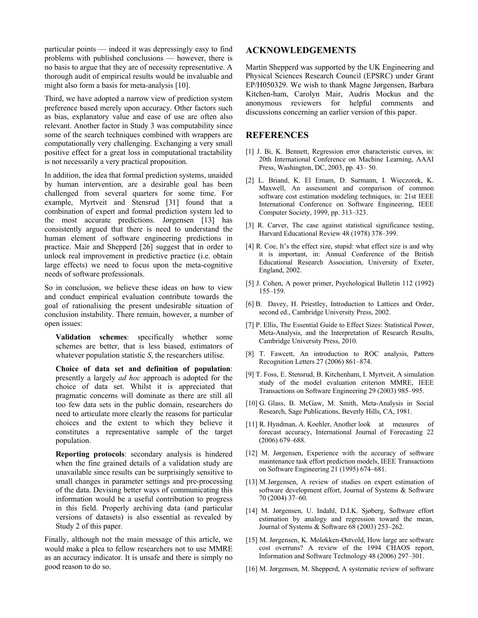particular points — indeed it was depressingly easy to find problems with published conclusions — however, there is no basis to argue that they are of necessity representative. A thorough audit of empirical results would be invaluable and might also form a basis for meta-analysis [10].

Third, we have adopted a narrow view of prediction system preference based merely upon accuracy. Other factors such as bias, explanatory value and ease of use are often also relevant. Another factor in Study 3 was computability since some of the search techniques combined with wrappers are computationally very challenging. Exchanging a very small positive effect for a great loss in computational tractability is not necessarily a very practical proposition.

In addition, the idea that formal prediction systems, unaided by human intervention, are a desirable goal has been challenged from several quarters for some time. For example, Myrtveit and Stensrud [31] found that a combination of expert and formal prediction system led to the most accurate predictions. Jørgensen [13] has consistently argued that there is need to understand the human element of software engineering predictions in practice. Mair and Shepperd [26] suggest that in order to unlock real improvement in predictive practice (i.e. obtain large effects) we need to focus upon the meta-cognitive needs of software professionals.

So in conclusion, we believe these ideas on how to view and conduct empirical evaluation contribute towards the goal of rationalising the present undesirable situation of conclusion instability. There remain, however, a number of open issues:

**Validation schemes**: specifically whether some schemes are better, that is less biased, estimators of whatever population statistic *S*, the researchers utilise.

**Choice of data set and definition of population**: presently a largely *ad hoc* approach is adopted for the choice of data set. Whilst it is appreciated that pragmatic concerns will dominate as there are still all too few data sets in the public domain, researchers do need to articulate more clearly the reasons for particular choices and the extent to which they believe it constitutes a representative sample of the target population.

**Reporting protocols**: secondary analysis is hindered when the fine grained details of a validation study are unavailable since results can be surprisingly sensitive to small changes in parameter settings and pre-processing of the data. Devising better ways of communicating this information would be a useful contribution to progress in this field. Properly archiving data (and particular versions of datasets) is also essential as revealed by Study 2 of this paper.

Finally, although not the main message of this article, we would make a plea to fellow researchers not to use MMRE as an accuracy indicator. It is unsafe and there is simply no good reason to do so.

## **ACKNOWLEDGEMENTS**

Martin Shepperd was supported by the UK Engineering and Physical Sciences Research Council (EPSRC) under Grant EP/H050329. We wish to thank Magne Jørgensen, Barbara Kitchen-ham, Carolyn Mair, Audris Mockus and the anonymous reviewers for helpful comments and discussions concerning an earlier version of this paper.

## **REFERENCES**

- [1] J. Bi, K. Bennett, Regression error characteristic curves, in: 20th International Conference on Machine Learning, AAAI Press, Washington, DC, 2003, pp. 43– 50.
- [2] L. Briand, K. El Emam, D. Surmann, I. Wieczorek, K. Maxwell, An assessment and comparison of common software cost estimation modeling techniques, in: 21st IEEE International Conference on Software Engineering, IEEE Computer Society, 1999, pp. 313–323.
- [3] R. Carver, The case against statistical significance testing, Harvard Educational Review 48 (1978) 378–399.
- [4] R. Coe, It's the effect size, stupid: what effect size is and why it is important, in: Annual Conference of the British Educational Research Association, University of Exeter, England, 2002.
- [5] J. Cohen, A power primer, Psychological Bulletin 112 (1992) 155–159.
- [6] B. Davey, H. Priestley, Introduction to Lattices and Order, second ed., Cambridge University Press, 2002.
- [7] P. Ellis, The Essential Guide to Effect Sizes: Statistical Power, Meta-Analysis, and the Interpretation of Research Results, Cambridge University Press, 2010.
- [8] T. Fawcett, An introduction to ROC analysis, Pattern Recognition Letters 27 (2006) 861–874.
- [9] T. Foss, E. Stensrud, B. Kitchenham, I. Myrtveit, A simulation study of the model evaluation criterion MMRE, IEEE Transactions on Software Engineering 29 (2003) 985–995.
- [10] G. Glass, B. McGaw, M. Smith, Meta-Analysis in Social Research, Sage Publications, Beverly Hills, CA, 1981.
- [11] R. Hyndman, A. Koehler, Another look at measures of forecast accuracy, International Journal of Forecasting 22 (2006) 679–688.
- [12] M. Jørgensen, Experience with the accuracy of software maintenance task effort prediction models, IEEE Transactions on Software Engineering 21 (1995) 674–681.
- [13] M.Jørgensen, A review of studies on expert estimation of software development effort, Journal of Systems & Software 70 (2004) 37–60.
- [14] M. Jørgensen, U. Indahl, D.I.K. Sjøberg, Software effort estimation by analogy and regression toward the mean, Journal of Systems & Software 68 (2003) 253–262.
- [15] M. Jørgensen, K. Moløkken-Østvold, How large are software cost overruns? A review of the 1994 CHAOS report, Information and Software Technology 48 (2006) 297–301.
- [16] M. Jørgensen, M. Shepperd, A systematic review of software